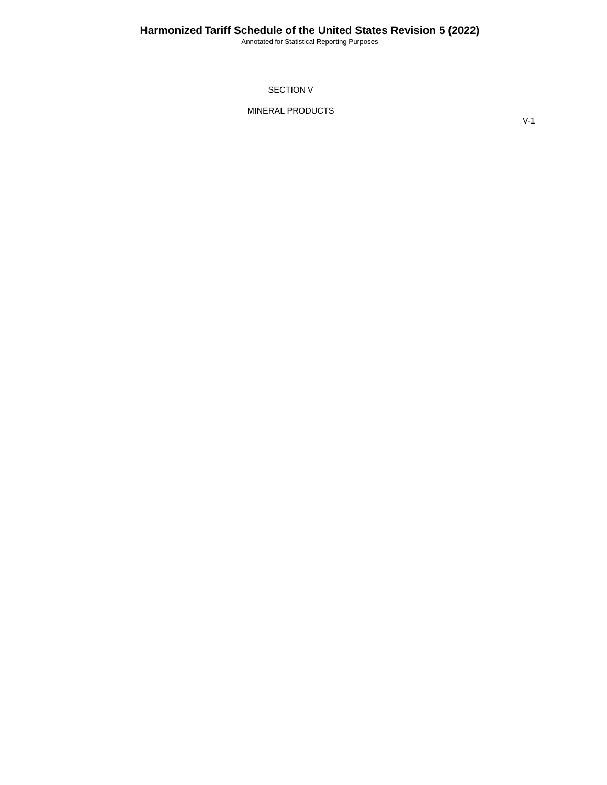Annotated for Statistical Reporting Purposes

SECTION V

MINERAL PRODUCTS

V-1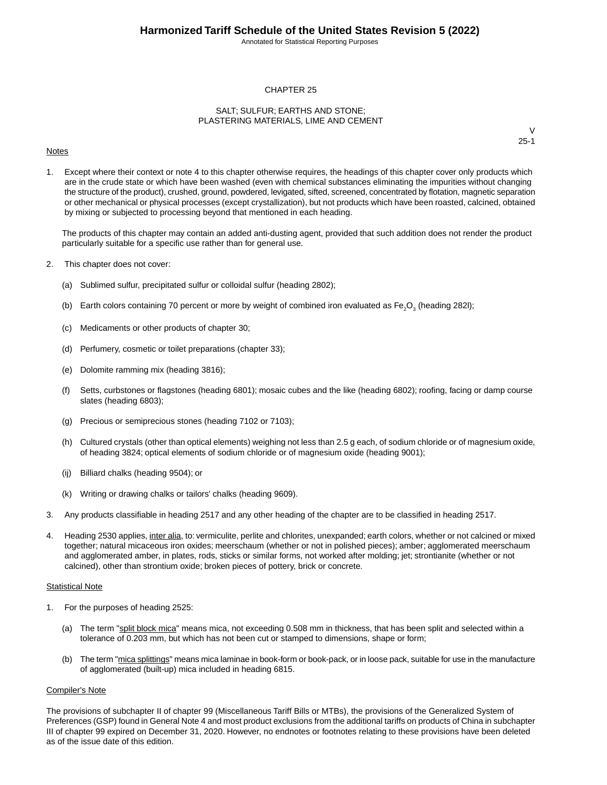Annotated for Statistical Reporting Purposes

### CHAPTER 25

### SALT; SULFUR; EARTHS AND STONE; PLASTERING MATERIALS, LIME AND CEMENT

#### Notes

V 25-1

1. Except where their context or note 4 to this chapter otherwise requires, the headings of this chapter cover only products which are in the crude state or which have been washed (even with chemical substances eliminating the impurities without changing the structure of the product), crushed, ground, powdered, levigated, sifted, screened, concentrated by flotation, magnetic separation or other mechanical or physical processes (except crystallization), but not products which have been roasted, calcined, obtained by mixing or subjected to processing beyond that mentioned in each heading.

The products of this chapter may contain an added anti-dusting agent, provided that such addition does not render the product particularly suitable for a specific use rather than for general use.

- 2. This chapter does not cover:
	- (a) Sublimed sulfur, precipitated sulfur or colloidal sulfur (heading 2802);
	- (b) Earth colors containing 70 percent or more by weight of combined iron evaluated as Fe<sub>2</sub>O<sub>3</sub> (heading 282I);
	- (c) Medicaments or other products of chapter 30;
	- (d) Perfumery, cosmetic or toilet preparations (chapter 33);
	- (e) Dolomite ramming mix (heading 3816);
	- (f) Setts, curbstones or flagstones (heading 6801); mosaic cubes and the like (heading 6802); roofing, facing or damp course slates (heading 6803);
	- (g) Precious or semiprecious stones (heading 7102 or 7103);
	- (h) Cultured crystals (other than optical elements) weighing not less than 2.5 g each, of sodium chloride or of magnesium oxide, of heading 3824; optical elements of sodium chloride or of magnesium oxide (heading 9001);
	- (ij) Billiard chalks (heading 9504); or
	- (k) Writing or drawing chalks or tailors' chalks (heading 9609).
- 3. Any products classifiable in heading 2517 and any other heading of the chapter are to be classified in heading 2517.
- 4. Heading 2530 applies, inter alia, to: vermiculite, perlite and chlorites, unexpanded; earth colors, whether or not calcined or mixed together; natural micaceous iron oxides; meerschaum (whether or not in polished pieces); amber; agglomerated meerschaum and agglomerated amber, in plates, rods, sticks or similar forms, not worked after molding; jet; strontianite (whether or not calcined), other than strontium oxide; broken pieces of pottery, brick or concrete.

#### Statistical Note

- 1. For the purposes of heading 2525:
	- (a) The term "split block mica" means mica, not exceeding 0.508 mm in thickness, that has been split and selected within a tolerance of 0.203 mm, but which has not been cut or stamped to dimensions, shape or form;
	- (b) The term "mica splittings" means mica laminae in book-form or book-pack, or in loose pack, suitable for use in the manufacture of agglomerated (built-up) mica included in heading 6815.

#### Compiler's Note

The provisions of subchapter II of chapter 99 (Miscellaneous Tariff Bills or MTBs), the provisions of the Generalized System of Preferences (GSP) found in General Note 4 and most product exclusions from the additional tariffs on products of China in subchapter III of chapter 99 expired on December 31, 2020. However, no endnotes or footnotes relating to these provisions have been deleted as of the issue date of this edition.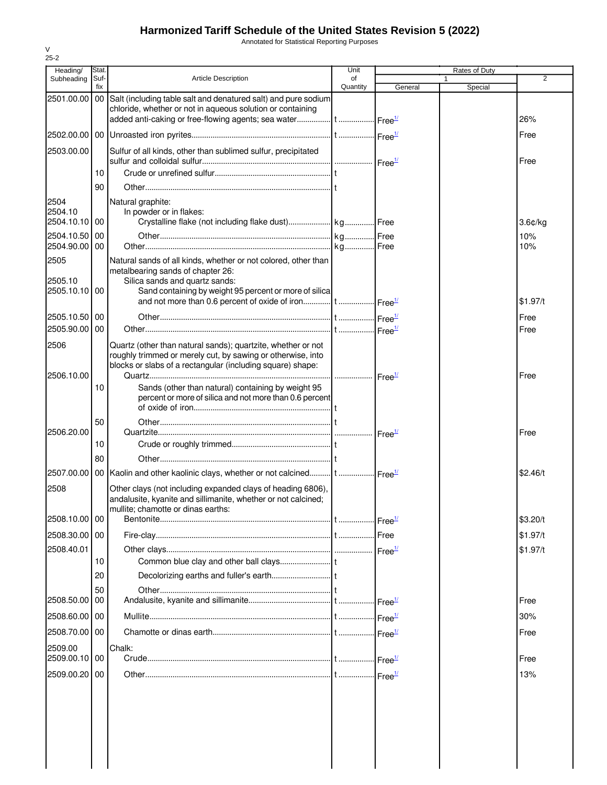Annotated for Statistical Reporting Purposes

| Heading/                         | Stat.       |                                                                                                                                                                                                 | Unit           |                                    | Rates of Duty |                         |
|----------------------------------|-------------|-------------------------------------------------------------------------------------------------------------------------------------------------------------------------------------------------|----------------|------------------------------------|---------------|-------------------------|
| Subheading                       | Suf-<br>fix | <b>Article Description</b>                                                                                                                                                                      | of<br>Quantity | General                            |               | 2                       |
| 2501.00.00                       | $00\,$      | Salt (including table salt and denatured salt) and pure sodium<br>chloride, whether or not in aqueous solution or containing                                                                    |                |                                    | Special       | 26%                     |
|                                  |             |                                                                                                                                                                                                 |                |                                    |               | Free                    |
| 2503.00.00                       |             | Sulfur of all kinds, other than sublimed sulfur, precipitated                                                                                                                                   |                |                                    |               | Free                    |
|                                  | 10          |                                                                                                                                                                                                 |                |                                    |               |                         |
|                                  | 90          |                                                                                                                                                                                                 |                |                                    |               |                         |
| 2504<br>2504.10<br>2504.10.10 00 |             | Natural graphite:<br>In powder or in flakes:                                                                                                                                                    |                |                                    |               | $3.6$ $\varepsilon$ /kg |
| 2504.10.50                       | 00          |                                                                                                                                                                                                 |                |                                    |               | 10%                     |
| 2504.90.00                       | 00          |                                                                                                                                                                                                 |                |                                    |               | 10%                     |
| 2505<br>2505.10<br>2505.10.10 00 |             | Natural sands of all kinds, whether or not colored, other than<br>metalbearing sands of chapter 26:<br>Silica sands and quartz sands:<br>Sand containing by weight 95 percent or more of silica |                |                                    |               |                         |
|                                  |             |                                                                                                                                                                                                 |                |                                    |               | \$1.97/t                |
| 2505.10.50 00                    |             |                                                                                                                                                                                                 |                |                                    |               | Free                    |
| 2505.90.00                       | 00          |                                                                                                                                                                                                 |                |                                    |               | Free                    |
| 2506<br>2506.10.00               |             | Quartz (other than natural sands); quartzite, whether or not<br>roughly trimmed or merely cut, by sawing or otherwise, into<br>blocks or slabs of a rectangular (including square) shape:       |                | Free <sup>1/</sup>                 |               | Free                    |
|                                  | 10          | Sands (other than natural) containing by weight 95<br>percent or more of silica and not more than 0.6 percent                                                                                   |                |                                    |               |                         |
| 2506.20.00                       | 50          |                                                                                                                                                                                                 |                |                                    |               | Free                    |
|                                  | 10          |                                                                                                                                                                                                 |                |                                    |               |                         |
|                                  | 80          |                                                                                                                                                                                                 |                |                                    |               |                         |
|                                  |             | 2507.00.00   00   Kaolin and other kaolinic clays, whether or not calcined   t  Free <sup>1/</sup>                                                                                              |                |                                    |               | \$2.46/t                |
| 2508                             |             | Other clays (not including expanded clays of heading 6806),<br>andalusite, kyanite and sillimanite, whether or not calcined;<br>mullite; chamotte or dinas earths:                              |                |                                    |               |                         |
| 2508.10.00 00                    |             |                                                                                                                                                                                                 |                | $\cdot$ Free $\frac{1}{2}$         |               | \$3.20/t                |
| 2508.30.00 00                    |             |                                                                                                                                                                                                 |                |                                    |               | \$1.97/t                |
| 2508.40.01                       |             |                                                                                                                                                                                                 |                |                                    |               | \$1.97/t                |
|                                  | 10          |                                                                                                                                                                                                 |                |                                    |               |                         |
|                                  | 20          |                                                                                                                                                                                                 |                |                                    |               |                         |
|                                  | 50          |                                                                                                                                                                                                 |                |                                    |               |                         |
| 2508.50.00 00                    |             |                                                                                                                                                                                                 |                | $\mathsf{Free}^{\mathsf{1}\prime}$ |               | Free                    |
| 2508.60.00 00                    |             |                                                                                                                                                                                                 |                | Free <sup>1/</sup>                 |               | 30%                     |
| 2508.70.00 00                    |             |                                                                                                                                                                                                 |                |                                    |               | Free                    |
| 2509.00<br>2509.00.10 00         |             | Chalk:                                                                                                                                                                                          |                |                                    |               | Free                    |
| 2509.00.20 00                    |             |                                                                                                                                                                                                 |                | $\text{Free}^{\frac{1}{2}}$        |               | 13%                     |
|                                  |             |                                                                                                                                                                                                 |                |                                    |               |                         |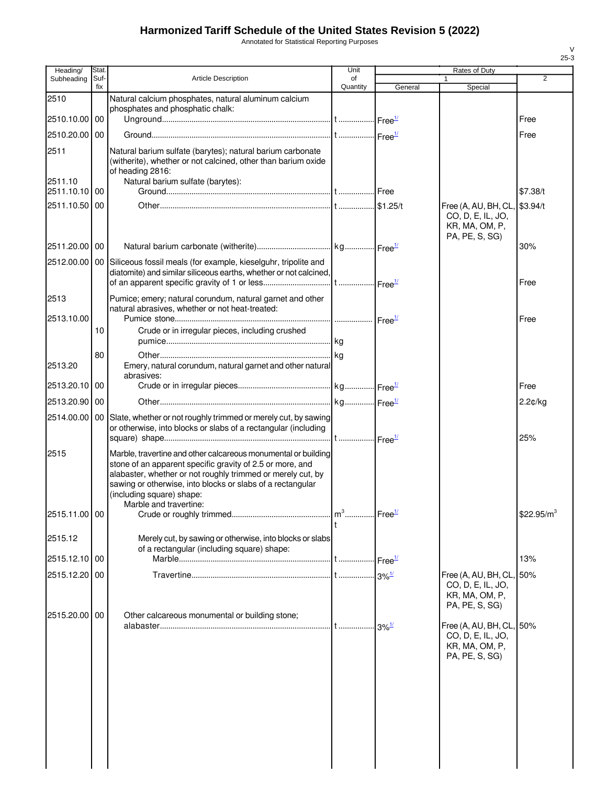Annotated for Statistical Reporting Purposes

| Heading/      | Stat.       |                                                                                                                                                                                                                                                                                                                 | Unit           |                                                       | Rates of Duty                                                                     |                |
|---------------|-------------|-----------------------------------------------------------------------------------------------------------------------------------------------------------------------------------------------------------------------------------------------------------------------------------------------------------------|----------------|-------------------------------------------------------|-----------------------------------------------------------------------------------|----------------|
| Subheading    | Suf-<br>fix | Article Description                                                                                                                                                                                                                                                                                             | οf<br>Quantity |                                                       |                                                                                   | $\overline{2}$ |
| 2510          |             | Natural calcium phosphates, natural aluminum calcium                                                                                                                                                                                                                                                            |                | General                                               | Special                                                                           |                |
|               |             | phosphates and phosphatic chalk:                                                                                                                                                                                                                                                                                |                |                                                       |                                                                                   |                |
| 2510.10.00 00 |             |                                                                                                                                                                                                                                                                                                                 |                |                                                       |                                                                                   | Free           |
| 2510.20.00 00 |             |                                                                                                                                                                                                                                                                                                                 |                |                                                       |                                                                                   | Free           |
| 2511          |             | Natural barium sulfate (barytes); natural barium carbonate<br>(witherite), whether or not calcined, other than barium oxide<br>of heading 2816:                                                                                                                                                                 |                |                                                       |                                                                                   |                |
| 2511.10       |             | Natural barium sulfate (barytes):                                                                                                                                                                                                                                                                               |                |                                                       |                                                                                   |                |
| 2511.10.10 00 |             |                                                                                                                                                                                                                                                                                                                 |                |                                                       |                                                                                   | \$7.38/t       |
| 2511.10.50 00 |             |                                                                                                                                                                                                                                                                                                                 |                |                                                       | Free (A, AU, BH, CL,<br>CO, D, E, IL, JO,<br>KR, MA, OM, P,<br>PA, PE, S, SG)     | \$3.94/t       |
| 2511.20.00 00 |             |                                                                                                                                                                                                                                                                                                                 |                |                                                       |                                                                                   | 30%            |
|               |             | 2512.00.00   00 Siliceous fossil meals (for example, kieselguhr, tripolite and<br>diatomite) and similar siliceous earths, whether or not calcined,                                                                                                                                                             |                |                                                       |                                                                                   | Free           |
| 2513          |             | Pumice; emery; natural corundum, natural garnet and other<br>natural abrasives, whether or not heat-treated:                                                                                                                                                                                                    |                |                                                       |                                                                                   |                |
| 2513.10.00    |             |                                                                                                                                                                                                                                                                                                                 |                |                                                       |                                                                                   | Free           |
|               | 10          | Crude or in irregular pieces, including crushed                                                                                                                                                                                                                                                                 |                |                                                       |                                                                                   |                |
| 2513.20       | 80          | Emery, natural corundum, natural garnet and other natural<br>abrasives:                                                                                                                                                                                                                                         |                |                                                       |                                                                                   |                |
| 2513.20.10    | 00          |                                                                                                                                                                                                                                                                                                                 |                |                                                       |                                                                                   | Free           |
| 2513.20.90 00 |             |                                                                                                                                                                                                                                                                                                                 |                |                                                       |                                                                                   | 2.2¢/kg        |
|               |             |                                                                                                                                                                                                                                                                                                                 |                |                                                       |                                                                                   |                |
|               |             | 2514.00.00   00 Slate, whether or not roughly trimmed or merely cut, by sawing<br>or otherwise, into blocks or slabs of a rectangular (including                                                                                                                                                                |                |                                                       |                                                                                   | 25%            |
| 2515          |             | Marble, travertine and other calcareous monumental or building<br>stone of an apparent specific gravity of 2.5 or more, and<br>alabaster, whether or not roughly trimmed or merely cut, by<br>sawing or otherwise, into blocks or slabs of a rectangular<br>(including square) shape:<br>Marble and travertine: |                |                                                       |                                                                                   |                |
| 2515.11.00 00 |             |                                                                                                                                                                                                                                                                                                                 | $m^3$          | Free <sup>1/</sup>                                    |                                                                                   | \$22.95/ $m^3$ |
| 2515.12       |             | Merely cut, by sawing or otherwise, into blocks or slabs<br>of a rectangular (including square) shape:                                                                                                                                                                                                          |                |                                                       |                                                                                   |                |
| 2515.12.10 00 |             |                                                                                                                                                                                                                                                                                                                 |                | $\mathsf{Free}^{\underline{\mathsf{1\!}{\mathsf{}}}}$ |                                                                                   | 13%            |
| 2515.12.20 00 |             |                                                                                                                                                                                                                                                                                                                 |                |                                                       | Free (A, AU, BH, CL,<br>CO, D, E, IL, JO,<br>KR, MA, OM, P,<br>PA, PE, S, SG)     | .50%           |
| 2515.20.00 00 |             | Other calcareous monumental or building stone;                                                                                                                                                                                                                                                                  |                |                                                       |                                                                                   |                |
|               |             |                                                                                                                                                                                                                                                                                                                 |                | $3\%$ <sup>1/</sup>                                   | Free (A, AU, BH, CL, 50%<br>CO, D, E, IL, JO,<br>KR, MA, OM, P,<br>PA, PE, S, SG) |                |
|               |             |                                                                                                                                                                                                                                                                                                                 |                |                                                       |                                                                                   |                |
|               |             |                                                                                                                                                                                                                                                                                                                 |                |                                                       |                                                                                   |                |
|               |             |                                                                                                                                                                                                                                                                                                                 |                |                                                       |                                                                                   |                |
|               |             |                                                                                                                                                                                                                                                                                                                 |                |                                                       |                                                                                   |                |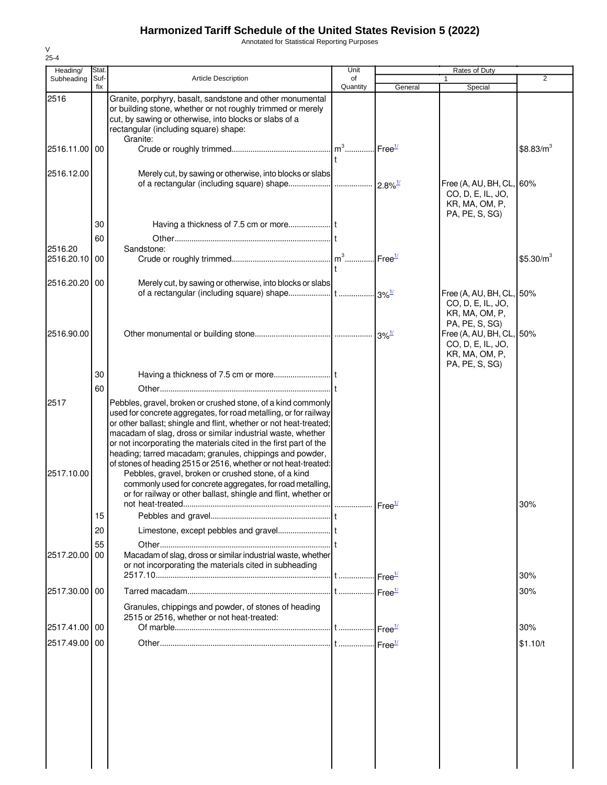Annotated for Statistical Reporting Purposes

| Heading/      | Stat.       |                                                                                                                                                                                                                                                                                                                                                                                                       | Unit           | Rates of Duty |                                                                                   |                       |  |
|---------------|-------------|-------------------------------------------------------------------------------------------------------------------------------------------------------------------------------------------------------------------------------------------------------------------------------------------------------------------------------------------------------------------------------------------------------|----------------|---------------|-----------------------------------------------------------------------------------|-----------------------|--|
| Subheading    | Suf-<br>fix | <b>Article Description</b>                                                                                                                                                                                                                                                                                                                                                                            | of<br>Quantity | General       | 1.<br>Special                                                                     | $\overline{2}$        |  |
| 2516          |             | Granite, porphyry, basalt, sandstone and other monumental<br>or building stone, whether or not roughly trimmed or merely<br>cut, by sawing or otherwise, into blocks or slabs of a<br>rectangular (including square) shape:                                                                                                                                                                           |                |               |                                                                                   |                       |  |
| 2516.11.00    | 00          | Granite:                                                                                                                                                                                                                                                                                                                                                                                              |                |               |                                                                                   | \$8.83/m <sup>3</sup> |  |
| 2516.12.00    |             | Merely cut, by sawing or otherwise, into blocks or slabs                                                                                                                                                                                                                                                                                                                                              |                |               | Free (A, AU, BH, CL, 60%<br>CO, D, E, IL, JO,<br>KR, MA, OM, P,<br>PA, PE, S, SG) |                       |  |
|               | 30          |                                                                                                                                                                                                                                                                                                                                                                                                       |                |               |                                                                                   |                       |  |
|               | 60          |                                                                                                                                                                                                                                                                                                                                                                                                       |                |               |                                                                                   |                       |  |
| 2516.20       |             | Sandstone:                                                                                                                                                                                                                                                                                                                                                                                            |                |               |                                                                                   |                       |  |
| 2516.20.10    | 00          |                                                                                                                                                                                                                                                                                                                                                                                                       |                |               |                                                                                   | \$5.30/m <sup>3</sup> |  |
| 2516.20.20 00 |             | Merely cut, by sawing or otherwise, into blocks or slabs                                                                                                                                                                                                                                                                                                                                              |                |               |                                                                                   |                       |  |
|               |             |                                                                                                                                                                                                                                                                                                                                                                                                       |                |               | Free (A, AU, BH, CL, 50%<br>CO, D, E, IL, JO,<br>KR, MA, OM, P,<br>PA, PE, S, SG) |                       |  |
| 2516.90.00    |             |                                                                                                                                                                                                                                                                                                                                                                                                       |                |               | Free (A, AU, BH, CL, 50%<br>CO, D, E, IL, JO,<br>KR, MA, OM, P,<br>PA, PE, S, SG) |                       |  |
|               | 30          |                                                                                                                                                                                                                                                                                                                                                                                                       |                |               |                                                                                   |                       |  |
|               | 60          |                                                                                                                                                                                                                                                                                                                                                                                                       |                |               |                                                                                   |                       |  |
| 2517          |             | Pebbles, gravel, broken or crushed stone, of a kind commonly<br>used for concrete aggregates, for road metalling, or for railway<br>or other ballast; shingle and flint, whether or not heat-treated;<br>macadam of slag, dross or similar industrial waste, whether<br>or not incorporating the materials cited in the first part of the<br>heading; tarred macadam; granules, chippings and powder, |                |               |                                                                                   |                       |  |
| 2517.10.00    |             | of stones of heading 2515 or 2516, whether or not heat-treated:<br>Pebbles, gravel, broken or crushed stone, of a kind<br>commonly used for concrete aggregates, for road metalling,<br>or for railway or other ballast, shingle and flint, whether or                                                                                                                                                |                |               |                                                                                   | 30%                   |  |
|               | 15          |                                                                                                                                                                                                                                                                                                                                                                                                       |                |               |                                                                                   |                       |  |
|               | 20          |                                                                                                                                                                                                                                                                                                                                                                                                       |                |               |                                                                                   |                       |  |
| 2517.20.00    | 55<br>00    | Macadam of slag, dross or similar industrial waste, whether<br>or not incorporating the materials cited in subheading                                                                                                                                                                                                                                                                                 |                |               |                                                                                   | 30%                   |  |
|               |             |                                                                                                                                                                                                                                                                                                                                                                                                       |                |               |                                                                                   |                       |  |
| 2517.30.00 00 |             | Granules, chippings and powder, of stones of heading<br>2515 or 2516, whether or not heat-treated:                                                                                                                                                                                                                                                                                                    |                |               |                                                                                   | 30%                   |  |
| 2517.41.00 00 |             |                                                                                                                                                                                                                                                                                                                                                                                                       |                |               |                                                                                   | 30%                   |  |
| 2517.49.00 00 |             |                                                                                                                                                                                                                                                                                                                                                                                                       |                |               |                                                                                   | \$1.10/t              |  |
|               |             |                                                                                                                                                                                                                                                                                                                                                                                                       |                |               |                                                                                   |                       |  |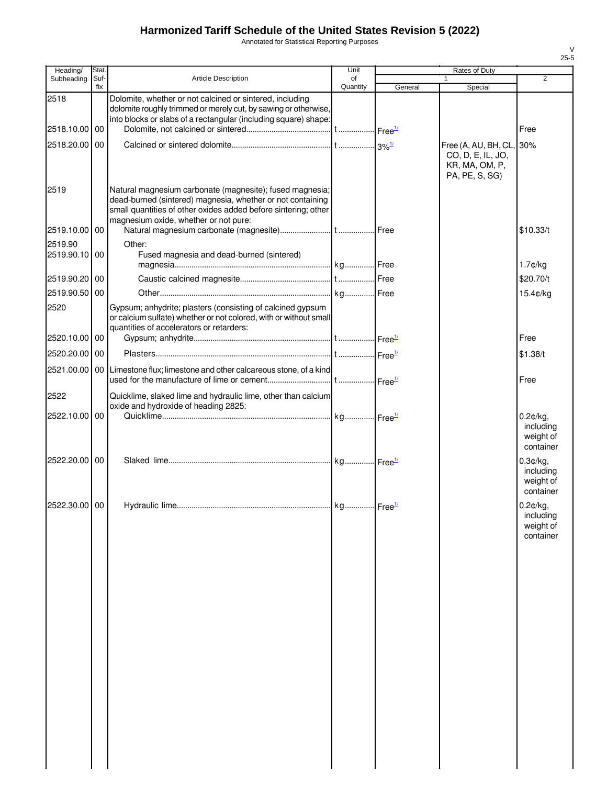Annotated for Statistical Reporting Purposes

| Heading/                 | <b>Stat</b> |                                                                                                                                                                                                                                   | Unit                  |         | Rates of Duty                                                                     |                                                 |
|--------------------------|-------------|-----------------------------------------------------------------------------------------------------------------------------------------------------------------------------------------------------------------------------------|-----------------------|---------|-----------------------------------------------------------------------------------|-------------------------------------------------|
| Subheading               | Suf-<br>fix | <b>Article Description</b>                                                                                                                                                                                                        | of<br>Quantity        | General |                                                                                   | $\overline{2}$                                  |
| 2518                     |             | Dolomite, whether or not calcined or sintered, including<br>dolomite roughly trimmed or merely cut, by sawing or otherwise,                                                                                                       |                       |         | Special                                                                           |                                                 |
| 2518.10.00 00            |             | into blocks or slabs of a rectangular (including square) shape:                                                                                                                                                                   |                       |         |                                                                                   | Free                                            |
| 2518.20.00               | 00          |                                                                                                                                                                                                                                   |                       |         |                                                                                   |                                                 |
|                          |             |                                                                                                                                                                                                                                   |                       |         | Free (A, AU, BH, CL, 30%<br>CO, D, E, IL, JO,<br>KR, MA, OM, P,<br>PA, PE, S, SG) |                                                 |
| 2519                     |             | Natural magnesium carbonate (magnesite); fused magnesia;<br>dead-burned (sintered) magnesia, whether or not containing<br>small quantities of other oxides added before sintering; other<br>magnesium oxide, whether or not pure: |                       |         |                                                                                   |                                                 |
| 2519.10.00               | 00          |                                                                                                                                                                                                                                   |                       |         |                                                                                   | \$10.33/t                                       |
| 2519.90<br>2519.90.10 00 |             | Other:<br>Fused magnesia and dead-burned (sintered)                                                                                                                                                                               |                       |         |                                                                                   | $1.7$ ¢/kg                                      |
| 2519.90.20 00            |             |                                                                                                                                                                                                                                   |                       |         |                                                                                   | \$20.70/t                                       |
| 2519.90.50               | 00          |                                                                                                                                                                                                                                   |                       |         |                                                                                   | 15.4¢/kg                                        |
| 2520                     |             | Gypsum; anhydrite; plasters (consisting of calcined gypsum<br>or calcium sulfate) whether or not colored, with or without small<br>quantities of accelerators or retarders:                                                       |                       |         |                                                                                   |                                                 |
| 2520.10.00               | 00          |                                                                                                                                                                                                                                   |                       |         |                                                                                   | Free                                            |
| 2520.20.00 00            |             |                                                                                                                                                                                                                                   |                       |         |                                                                                   | \$1.38/t                                        |
| 2521.00.00               |             | 00 Limestone flux; limestone and other calcareous stone, of a kind                                                                                                                                                                |                       |         |                                                                                   | Free                                            |
| 2522                     |             | Quicklime, slaked lime and hydraulic lime, other than calcium                                                                                                                                                                     |                       |         |                                                                                   |                                                 |
|                          |             | oxide and hydroxide of heading 2825:                                                                                                                                                                                              |                       |         |                                                                                   |                                                 |
| 2522.10.00               | 00          |                                                                                                                                                                                                                                   |                       |         |                                                                                   | 0.2¢/kg,<br>including<br>weight of<br>container |
| 2522.20.00 00            |             |                                                                                                                                                                                                                                   |                       |         |                                                                                   | 0.3¢/kg,<br>including<br>weight of<br>container |
| 2522.30.00 00            |             | Hydraulic lime                                                                                                                                                                                                                    | kg Free <sup>1/</sup> |         |                                                                                   | 0.2¢/kg,<br>including<br>weight of<br>container |
|                          |             |                                                                                                                                                                                                                                   |                       |         |                                                                                   |                                                 |
|                          |             |                                                                                                                                                                                                                                   |                       |         |                                                                                   |                                                 |
|                          |             |                                                                                                                                                                                                                                   |                       |         |                                                                                   |                                                 |
|                          |             |                                                                                                                                                                                                                                   |                       |         |                                                                                   |                                                 |
|                          |             |                                                                                                                                                                                                                                   |                       |         |                                                                                   |                                                 |
|                          |             |                                                                                                                                                                                                                                   |                       |         |                                                                                   |                                                 |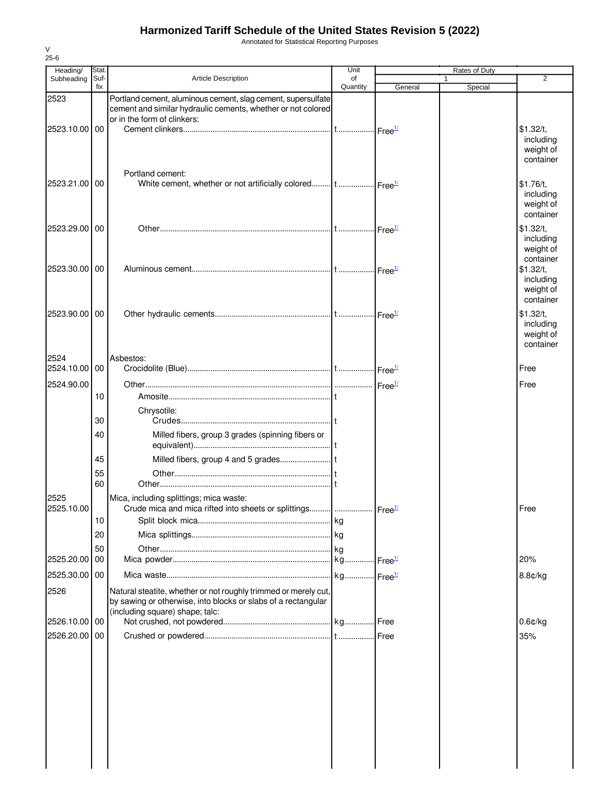Annotated for Statistical Reporting Purposes

| Heading/              | Stat.       |                                                                                                                                                                     | Unit           |         | Rates of Duty |                                                  |
|-----------------------|-------------|---------------------------------------------------------------------------------------------------------------------------------------------------------------------|----------------|---------|---------------|--------------------------------------------------|
| Subheading            | Suf-<br>fix | <b>Article Description</b>                                                                                                                                          | of<br>Quantity | General | 1<br>Special  | 2                                                |
| 2523<br>2523.10.00 00 |             | Portland cement, aluminous cement, slag cement, supersulfate<br>cement and similar hydraulic cements, whether or not colored<br>or in the form of clinkers:         |                |         |               | \$1.32/t,                                        |
|                       |             | Portland cement:                                                                                                                                                    |                |         |               | including<br>weight of<br>container              |
| 2523.21.00            | 00          |                                                                                                                                                                     |                |         |               | \$1.76/t,<br>including<br>weight of<br>container |
| 2523.29.00            | 00          |                                                                                                                                                                     |                |         |               | \$1.32/t,<br>including<br>weight of<br>container |
| 2523.30.00            | 00          |                                                                                                                                                                     |                |         |               | \$1.32/t,<br>including<br>weight of<br>container |
| 2523.90.00            | 00          |                                                                                                                                                                     |                |         |               | \$1.32/t,<br>including<br>weight of<br>container |
| 2524<br>2524.10.00    | 00          | Asbestos:                                                                                                                                                           |                |         |               | Free                                             |
| 2524.90.00            |             |                                                                                                                                                                     |                |         |               | Free                                             |
|                       | 10          |                                                                                                                                                                     |                |         |               |                                                  |
|                       |             | Chrysotile:                                                                                                                                                         |                |         |               |                                                  |
|                       | 30          |                                                                                                                                                                     |                |         |               |                                                  |
|                       | 40          | Milled fibers, group 3 grades (spinning fibers or                                                                                                                   |                |         |               |                                                  |
|                       | 45          |                                                                                                                                                                     |                |         |               |                                                  |
|                       | 55<br>60    |                                                                                                                                                                     |                |         |               |                                                  |
| 2525<br>2525.10.00    |             | Mica, including splittings; mica waste:<br>Crude mica and mica rifted into sheets or splittings      Free <sup>1/</sup>                                             |                |         |               | Free                                             |
|                       | 10          |                                                                                                                                                                     |                |         |               |                                                  |
|                       | 20<br>50    |                                                                                                                                                                     |                |         |               |                                                  |
| 2525.20.00            | 00          |                                                                                                                                                                     |                |         |               | 20%                                              |
| 2525.30.00 00         |             |                                                                                                                                                                     |                |         |               | 8.8¢/kg                                          |
| 2526                  |             | Natural steatite, whether or not roughly trimmed or merely cut,<br>by sawing or otherwise, into blocks or slabs of a rectangular<br>(including square) shape; talc: |                |         |               |                                                  |
| 2526.10.00            | 00          |                                                                                                                                                                     |                |         |               | $0.6$ ¢/kg                                       |
| 2526.20.00            | 00          |                                                                                                                                                                     |                | Free    |               | 35%                                              |
|                       |             |                                                                                                                                                                     |                |         |               |                                                  |
|                       |             |                                                                                                                                                                     |                |         |               |                                                  |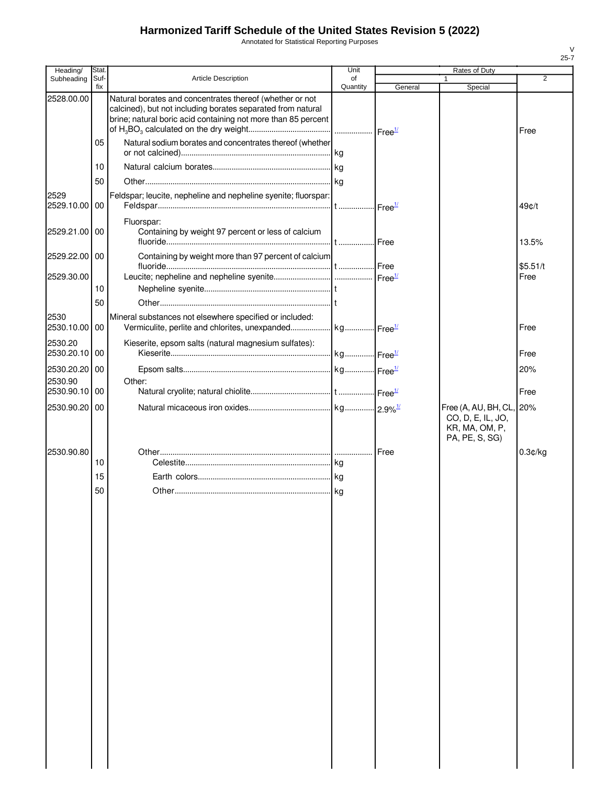Annotated for Statistical Reporting Purposes

| Heading/                 | Stat.       |                                                                                                                                                                                          | Unit           |         | Rates of Duty                                         |          |
|--------------------------|-------------|------------------------------------------------------------------------------------------------------------------------------------------------------------------------------------------|----------------|---------|-------------------------------------------------------|----------|
| Subheading               | Suf-<br>fix | <b>Article Description</b>                                                                                                                                                               | of<br>Quantity | General | Special                                               | 2        |
| 2528.00.00               |             | Natural borates and concentrates thereof (whether or not<br>calcined), but not including borates separated from natural<br>brine; natural boric acid containing not more than 85 percent |                |         |                                                       | Free     |
|                          | 05          | Natural sodium borates and concentrates thereof (whether                                                                                                                                 |                |         |                                                       |          |
|                          | 10          |                                                                                                                                                                                          |                |         |                                                       |          |
|                          | 50          |                                                                                                                                                                                          |                |         |                                                       |          |
| 2529<br>2529.10.00 00    |             | Feldspar; leucite, nepheline and nepheline syenite; fluorspar:                                                                                                                           |                |         |                                                       | 49¢/t    |
| 2529.21.00 00            |             | Fluorspar:<br>Containing by weight 97 percent or less of calcium                                                                                                                         |                |         |                                                       | 13.5%    |
| 2529.22.00 00            |             | Containing by weight more than 97 percent of calcium                                                                                                                                     |                |         |                                                       | \$5.51/t |
| 2529.30.00               |             |                                                                                                                                                                                          |                |         |                                                       | Free     |
|                          | 10          |                                                                                                                                                                                          |                |         |                                                       |          |
|                          | 50          |                                                                                                                                                                                          |                |         |                                                       |          |
| 2530<br>2530.10.00 00    |             | Mineral substances not elsewhere specified or included:                                                                                                                                  |                |         |                                                       | Free     |
| 2530.20<br>2530.20.10 00 |             | Kieserite, epsom salts (natural magnesium sulfates):                                                                                                                                     |                |         |                                                       | Free     |
| 2530.20.20 00<br>2530.90 |             | Other:                                                                                                                                                                                   |                |         |                                                       | 20%      |
| 2530.90.10 00            |             |                                                                                                                                                                                          |                |         |                                                       | Free     |
| 2530.90.20 00            |             |                                                                                                                                                                                          |                |         | Free (A, AU, BH, CL, 20%                              |          |
|                          |             |                                                                                                                                                                                          |                |         | CO, D, E, IL, JO,<br>KR, MA, OM, P,<br>PA, PE, S, SG) |          |
| 2530.90.80               |             |                                                                                                                                                                                          |                | Free    |                                                       | 0.3¢/kg  |
|                          | 10          |                                                                                                                                                                                          |                |         |                                                       |          |
|                          | 15          |                                                                                                                                                                                          |                |         |                                                       |          |
|                          | 50          |                                                                                                                                                                                          |                |         |                                                       |          |
|                          |             |                                                                                                                                                                                          |                |         |                                                       |          |
|                          |             |                                                                                                                                                                                          |                |         |                                                       |          |
|                          |             |                                                                                                                                                                                          |                |         |                                                       |          |
|                          |             |                                                                                                                                                                                          |                |         |                                                       |          |
|                          |             |                                                                                                                                                                                          |                |         |                                                       |          |
|                          |             |                                                                                                                                                                                          |                |         |                                                       |          |
|                          |             |                                                                                                                                                                                          |                |         |                                                       |          |
|                          |             |                                                                                                                                                                                          |                |         |                                                       |          |
|                          |             |                                                                                                                                                                                          |                |         |                                                       |          |
|                          |             |                                                                                                                                                                                          |                |         |                                                       |          |
|                          |             |                                                                                                                                                                                          |                |         |                                                       |          |